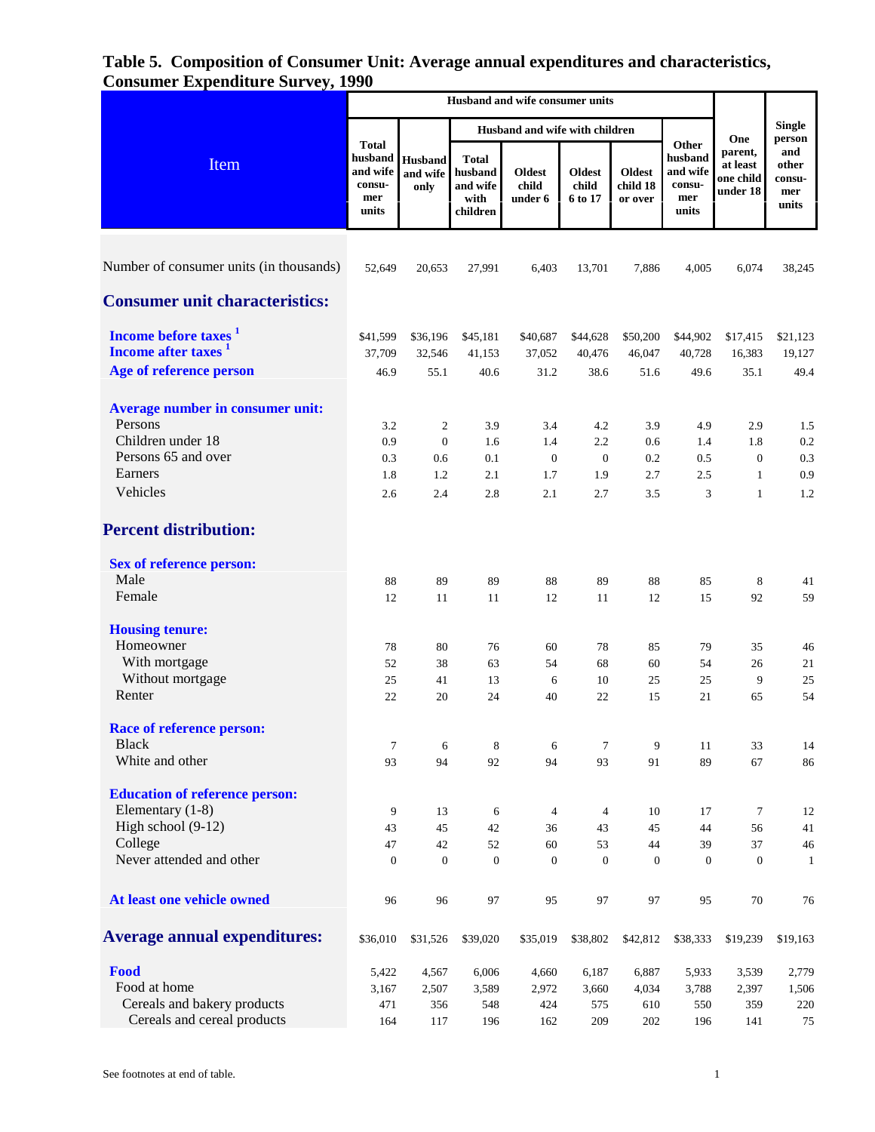| Item                                    |                                                               |                                    |                                                         | Husband and wife with children    |                                   |                                      | One                                                    | <b>Single</b><br>person                      |                                        |
|-----------------------------------------|---------------------------------------------------------------|------------------------------------|---------------------------------------------------------|-----------------------------------|-----------------------------------|--------------------------------------|--------------------------------------------------------|----------------------------------------------|----------------------------------------|
|                                         | <b>Total</b><br>husband<br>and wife<br>consu-<br>mer<br>units | <b>Husband</b><br>and wife<br>only | <b>Total</b><br>husband<br>and wife<br>with<br>children | <b>Oldest</b><br>child<br>under 6 | <b>Oldest</b><br>child<br>6 to 17 | <b>Oldest</b><br>child 18<br>or over | Other<br>husband<br>and wife<br>consu-<br>mer<br>units | parent,<br>at least<br>one child<br>under 18 | and<br>other<br>consu-<br>mer<br>units |
| Number of consumer units (in thousands) | 52,649                                                        | 20,653                             | 27,991                                                  | 6,403                             | 13,701                            | 7,886                                | 4,005                                                  | 6,074                                        | 38,245                                 |
| <b>Consumer unit characteristics:</b>   |                                                               |                                    |                                                         |                                   |                                   |                                      |                                                        |                                              |                                        |
| Income before taxes <sup>1</sup>        | \$41,599                                                      | \$36,196                           | \$45,181                                                | \$40,687                          | \$44,628                          | \$50,200                             | \$44,902                                               | \$17,415                                     | \$21,123                               |
| Income after taxes <sup>1</sup>         | 37,709                                                        | 32,546                             | 41,153                                                  | 37,052                            | 40,476                            | 46,047                               | 40,728                                                 | 16,383                                       | 19,127                                 |
| Age of reference person                 | 46.9                                                          | 55.1                               | 40.6                                                    | 31.2                              | 38.6                              | 51.6                                 | 49.6                                                   | 35.1                                         | 49.4                                   |
| Average number in consumer unit:        |                                                               |                                    |                                                         |                                   |                                   |                                      |                                                        |                                              |                                        |
| Persons                                 | 3.2                                                           | 2                                  | 3.9                                                     | 3.4                               | 4.2                               | 3.9                                  | 4.9                                                    | 2.9                                          | 1.5                                    |
| Children under 18                       | 0.9                                                           | $\boldsymbol{0}$                   | 1.6                                                     | 1.4                               | 2.2                               | 0.6                                  | 1.4                                                    | 1.8                                          | 0.2                                    |
| Persons 65 and over                     | 0.3                                                           | 0.6                                | 0.1                                                     | $\mathbf{0}$                      | $\mathbf{0}$                      | 0.2                                  | 0.5                                                    | $\mathbf{0}$                                 | 0.3                                    |
| Earners                                 | 1.8                                                           | 1.2                                | 2.1                                                     | 1.7                               | 1.9                               | 2.7                                  | 2.5                                                    | 1                                            | 0.9                                    |
| Vehicles                                | 2.6                                                           | 2.4                                | 2.8                                                     | 2.1                               | 2.7                               | 3.5                                  | 3                                                      | $\mathbf{1}$                                 | 1.2                                    |
| <b>Percent distribution:</b>            |                                                               |                                    |                                                         |                                   |                                   |                                      |                                                        |                                              |                                        |
| Sex of reference person:                |                                                               |                                    |                                                         |                                   |                                   |                                      |                                                        |                                              |                                        |
| Male                                    | 88                                                            | 89                                 | 89                                                      | 88                                | 89                                | 88                                   | 85                                                     | 8                                            | 41                                     |
| Female                                  | 12                                                            | 11                                 | 11                                                      | 12                                | 11                                | 12                                   | 15                                                     | 92                                           | 59                                     |
| <b>Housing tenure:</b>                  |                                                               |                                    |                                                         |                                   |                                   |                                      |                                                        |                                              |                                        |
| Homeowner                               | 78                                                            | 80                                 | 76                                                      | 60                                | 78                                | 85                                   | 79                                                     | 35                                           | 46                                     |
| With mortgage                           | 52                                                            | 38                                 | 63                                                      | 54                                | 68                                | 60                                   | 54                                                     | 26                                           | 21                                     |
| Without mortgage                        | 25                                                            | 41                                 | 13                                                      | 6                                 | 10                                | 25                                   | 25                                                     | 9                                            | 25                                     |
| Renter                                  | 22                                                            | 20                                 | 24                                                      | 40                                | 22                                | 15                                   | 21                                                     | 65                                           | 54                                     |
| <b>Race of reference person:</b>        |                                                               |                                    |                                                         |                                   |                                   |                                      |                                                        |                                              |                                        |
| <b>Black</b>                            | $\overline{7}$                                                | 6                                  | 8                                                       | 6                                 | $\tau$                            | 9                                    | 11                                                     | 33                                           | 14                                     |
| White and other                         | 93                                                            | 94                                 | 92                                                      | 94                                | 93                                | 91                                   | 89                                                     | 67                                           | 86                                     |
| <b>Education of reference person:</b>   |                                                               |                                    |                                                         |                                   |                                   |                                      |                                                        |                                              |                                        |
| Elementary (1-8)                        | 9                                                             | 13                                 | 6                                                       | $\overline{4}$                    | 4                                 | 10                                   | 17                                                     | $\tau$                                       | 12                                     |
| High school (9-12)                      | 43                                                            | 45                                 | 42                                                      | 36                                | 43                                | 45                                   | 44                                                     | 56                                           | 41                                     |
| College                                 | 47                                                            | 42                                 | 52                                                      | 60                                | 53                                | 44                                   | 39                                                     | 37                                           | 46                                     |
| Never attended and other                | $\boldsymbol{0}$                                              | $\boldsymbol{0}$                   | $\boldsymbol{0}$                                        | $\boldsymbol{0}$                  | $\boldsymbol{0}$                  | $\boldsymbol{0}$                     | $\boldsymbol{0}$                                       | $\boldsymbol{0}$                             | $\mathbf{1}$                           |
| At least one vehicle owned              | 96                                                            | 96                                 | 97                                                      | 95                                | 97                                | 97                                   | 95                                                     | 70                                           | 76                                     |
| <b>Average annual expenditures:</b>     | \$36,010                                                      | \$31,526                           | \$39,020                                                | \$35,019                          | \$38,802                          | \$42,812                             | \$38,333                                               | \$19,239                                     | \$19,163                               |
| Food                                    | 5,422                                                         | 4,567                              | 6,006                                                   | 4,660                             | 6,187                             | 6,887                                | 5,933                                                  | 3,539                                        | 2,779                                  |
| Food at home                            | 3,167                                                         | 2,507                              | 3,589                                                   | 2,972                             | 3,660                             | 4,034                                | 3,788                                                  | 2,397                                        | 1,506                                  |
| Cereals and bakery products             | 471                                                           | 356                                | 548                                                     | 424                               | 575                               | 610                                  | 550                                                    | 359                                          | 220                                    |
| Cereals and cereal products             | 164                                                           | 117                                | 196                                                     | 162                               | 209                               | 202                                  | 196                                                    | 141                                          | 75                                     |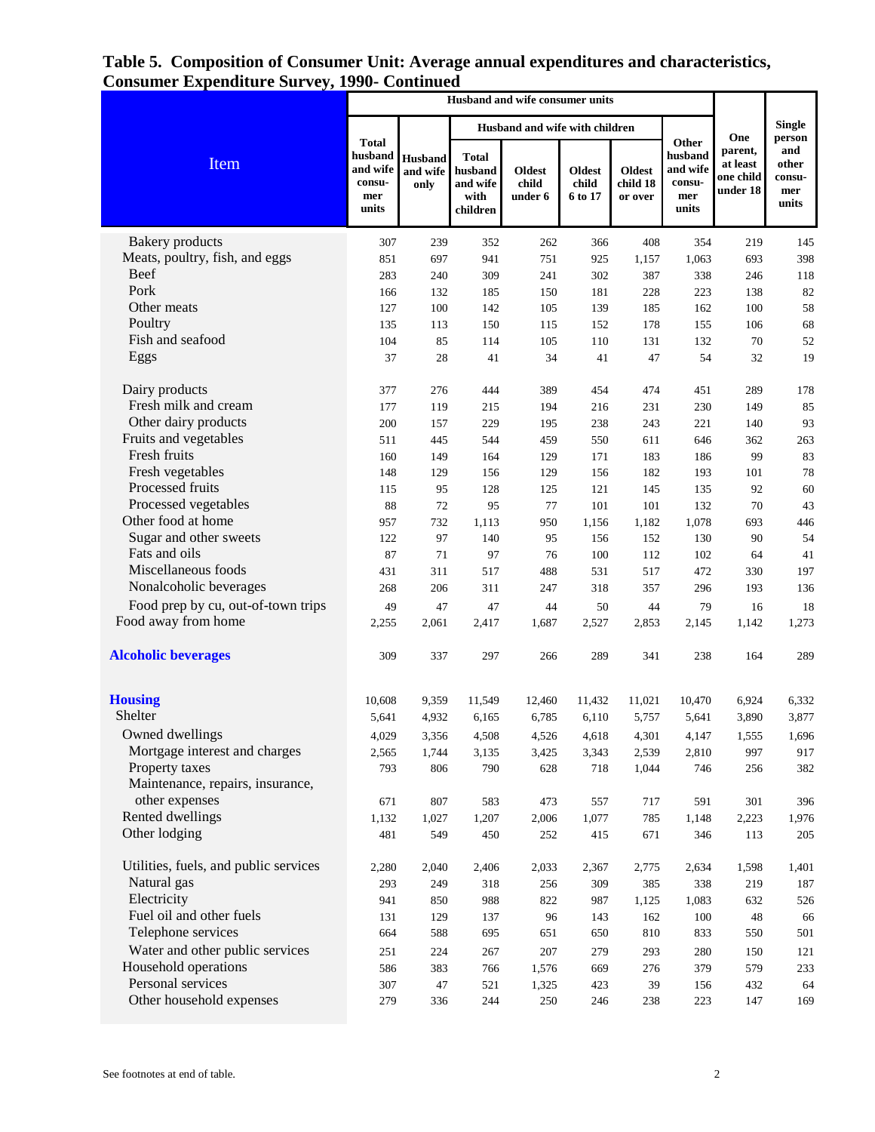|                                       |                                                               |                             |                                                         | Husband and wife with children    |                                   |                                      |                                                        | <b>Single</b>                                       |                                                  |
|---------------------------------------|---------------------------------------------------------------|-----------------------------|---------------------------------------------------------|-----------------------------------|-----------------------------------|--------------------------------------|--------------------------------------------------------|-----------------------------------------------------|--------------------------------------------------|
| Item                                  | <b>Total</b><br>husband<br>and wife<br>consu-<br>mer<br>units | Husband<br>and wife<br>only | <b>Total</b><br>husband<br>and wife<br>with<br>children | <b>Oldest</b><br>child<br>under 6 | <b>Oldest</b><br>child<br>6 to 17 | <b>Oldest</b><br>child 18<br>or over | Other<br>husband<br>and wife<br>consu-<br>mer<br>units | One<br>parent,<br>at least<br>one child<br>under 18 | person<br>and<br>other<br>consu-<br>mer<br>units |
| <b>Bakery</b> products                | 307                                                           | 239                         | 352                                                     | 262                               | 366                               | 408                                  | 354                                                    | 219                                                 | 145                                              |
| Meats, poultry, fish, and eggs        | 851                                                           | 697                         | 941                                                     | 751                               | 925                               | 1,157                                | 1,063                                                  | 693                                                 | 398                                              |
| <b>Beef</b>                           | 283                                                           | 240                         | 309                                                     | 241                               | 302                               | 387                                  | 338                                                    | 246                                                 | 118                                              |
| Pork                                  | 166                                                           | 132                         | 185                                                     | 150                               | 181                               | 228                                  | 223                                                    | 138                                                 | 82                                               |
| Other meats                           | 127                                                           | 100                         | 142                                                     | 105                               | 139                               | 185                                  | 162                                                    | 100                                                 | 58                                               |
| Poultry                               | 135                                                           | 113                         | 150                                                     | 115                               | 152                               | 178                                  | 155                                                    | 106                                                 | 68                                               |
| Fish and seafood                      | 104                                                           | 85                          | 114                                                     | 105                               | 110                               | 131                                  | 132                                                    | 70                                                  | 52                                               |
| Eggs                                  | 37                                                            | $28\,$                      | 41                                                      | 34                                | 41                                | 47                                   | 54                                                     | 32                                                  | 19                                               |
| Dairy products                        | 377                                                           | 276                         | 444                                                     | 389                               | 454                               | 474                                  | 451                                                    | 289                                                 | 178                                              |
| Fresh milk and cream                  | 177                                                           | 119                         | 215                                                     | 194                               | 216                               | 231                                  | 230                                                    | 149                                                 | 85                                               |
| Other dairy products                  | 200                                                           | 157                         | 229                                                     | 195                               | 238                               | 243                                  | 221                                                    | 140                                                 | 93                                               |
| Fruits and vegetables                 | 511                                                           | 445                         | 544                                                     | 459                               | 550                               | 611                                  | 646                                                    | 362                                                 | 263                                              |
| Fresh fruits                          | 160                                                           | 149                         | 164                                                     | 129                               | 171                               | 183                                  | 186                                                    | 99                                                  | 83                                               |
| Fresh vegetables                      | 148                                                           | 129                         | 156                                                     | 129                               | 156                               | 182                                  | 193                                                    | 101                                                 | 78                                               |
| Processed fruits                      | 115                                                           | 95                          | 128                                                     | 125                               | 121                               | 145                                  | 135                                                    | 92                                                  | 60                                               |
| Processed vegetables                  | 88                                                            | 72                          | 95                                                      | 77                                | 101                               | 101                                  | 132                                                    | 70                                                  | 43                                               |
| Other food at home                    | 957                                                           | 732                         | 1,113                                                   | 950                               | 1,156                             | 1,182                                | 1,078                                                  | 693                                                 | 446                                              |
| Sugar and other sweets                | 122                                                           | 97                          | 140                                                     | 95                                | 156                               | 152                                  | 130                                                    | 90                                                  | 54                                               |
| Fats and oils                         | 87                                                            | $71\,$                      | 97                                                      | 76                                | 100                               | 112                                  | 102                                                    | 64                                                  | 41                                               |
| Miscellaneous foods                   | 431                                                           | 311                         | 517                                                     | 488                               | 531                               | 517                                  | 472                                                    | 330                                                 | 197                                              |
| Nonalcoholic beverages                | 268                                                           | 206                         | 311                                                     | 247                               | 318                               | 357                                  | 296                                                    | 193                                                 | 136                                              |
| Food prep by cu, out-of-town trips    | 49                                                            | 47                          | 47                                                      | 44                                | 50                                | 44                                   | 79                                                     | 16                                                  | 18                                               |
| Food away from home                   | 2,255                                                         | 2,061                       | 2,417                                                   | 1,687                             | 2,527                             | 2,853                                | 2,145                                                  | 1,142                                               | 1,273                                            |
| <b>Alcoholic beverages</b>            | 309                                                           | 337                         | 297                                                     | 266                               | 289                               | 341                                  | 238                                                    | 164                                                 | 289                                              |
| <b>Housing</b>                        | 10,608                                                        | 9,359                       | 11,549                                                  | 12,460                            | 11,432                            | 11,021                               | 10,470                                                 | 6,924                                               | 6,332                                            |
| Shelter                               | 5,641                                                         | 4,932                       | 6,165                                                   | 6,785                             | 6,110                             | 5,757                                | 5,641                                                  | 3,890                                               | 3,877                                            |
| Owned dwellings                       | 4,029                                                         | 3,356                       | 4,508                                                   | 4,526                             | 4,618                             | 4,301                                | 4,147                                                  | 1,555                                               | 1,696                                            |
| Mortgage interest and charges         | 2,565                                                         | 1,744                       | 3,135                                                   | 3,425                             | 3,343                             | 2,539                                | 2,810                                                  | 997                                                 | 917                                              |
| Property taxes                        | 793                                                           | 806                         | 790                                                     | 628                               | 718                               | 1,044                                | 746                                                    | 256                                                 | 382                                              |
| Maintenance, repairs, insurance,      |                                                               |                             |                                                         |                                   |                                   |                                      |                                                        |                                                     |                                                  |
| other expenses                        | 671                                                           | 807                         | 583                                                     | 473                               | 557                               | 717                                  | 591                                                    | 301                                                 | 396                                              |
| Rented dwellings                      | 1,132                                                         | 1,027                       | 1,207                                                   | 2,006                             | 1,077                             | 785                                  | 1,148                                                  | 2,223                                               | 1,976                                            |
| Other lodging                         | 481                                                           | 549                         | 450                                                     | 252                               | 415                               | 671                                  | 346                                                    | 113                                                 | 205                                              |
| Utilities, fuels, and public services | 2,280                                                         | 2,040                       | 2,406                                                   | 2,033                             | 2,367                             | 2,775                                | 2,634                                                  | 1,598                                               | 1,401                                            |
| Natural gas                           | 293                                                           | 249                         | 318                                                     | 256                               | 309                               | 385                                  | 338                                                    | 219                                                 | 187                                              |
| Electricity                           | 941                                                           | 850                         | 988                                                     | 822                               | 987                               | 1,125                                | 1,083                                                  | 632                                                 | 526                                              |
| Fuel oil and other fuels              | 131                                                           | 129                         | 137                                                     | 96                                | 143                               | 162                                  | 100                                                    | 48                                                  | 66                                               |
| Telephone services                    | 664                                                           | 588                         | 695                                                     | 651                               | 650                               | 810                                  | 833                                                    | 550                                                 | 501                                              |
| Water and other public services       | 251                                                           | 224                         | 267                                                     | 207                               | 279                               | 293                                  | 280                                                    | 150                                                 | 121                                              |
| Household operations                  | 586                                                           | 383                         | 766                                                     | 1,576                             | 669                               | 276                                  | 379                                                    | 579                                                 | 233                                              |
| Personal services                     | 307                                                           | 47                          | 521                                                     | 1,325                             | 423                               | 39                                   | 156                                                    | 432                                                 | 64                                               |
| Other household expenses              | 279                                                           | 336                         | 244                                                     | 250                               | 246                               | 238                                  | 223                                                    | 147                                                 | 169                                              |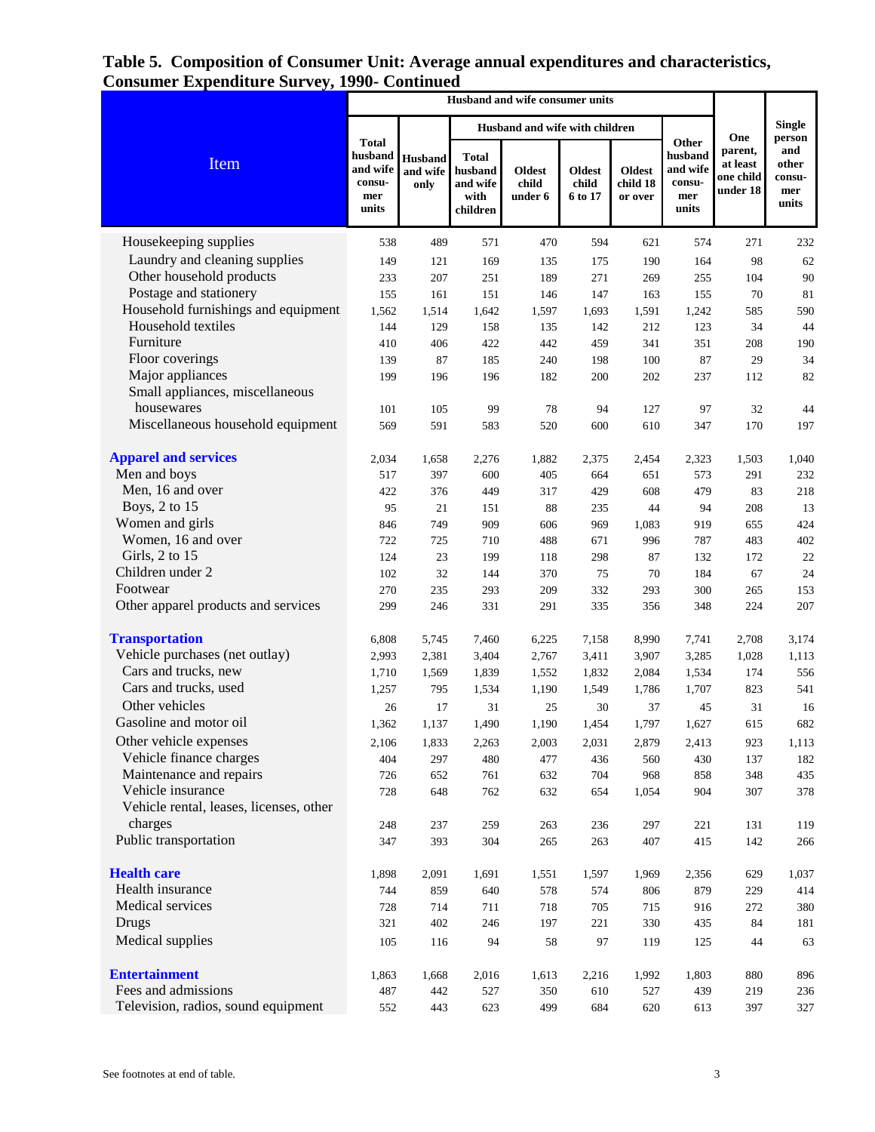|                                                              |                                                               |                                    |                                                         | Husband and wife with children |                            |                                      |                                                        | <b>Single</b>                                       |                                                  |
|--------------------------------------------------------------|---------------------------------------------------------------|------------------------------------|---------------------------------------------------------|--------------------------------|----------------------------|--------------------------------------|--------------------------------------------------------|-----------------------------------------------------|--------------------------------------------------|
| Item                                                         | <b>Total</b><br>husband<br>and wife<br>consu-<br>mer<br>units | <b>Husband</b><br>and wife<br>only | <b>Total</b><br>husband<br>and wife<br>with<br>children | Oldest<br>child<br>under 6     | Oldest<br>child<br>6 to 17 | <b>Oldest</b><br>child 18<br>or over | Other<br>husband<br>and wife<br>consu-<br>mer<br>units | One<br>parent,<br>at least<br>one child<br>under 18 | person<br>and<br>other<br>consu-<br>mer<br>units |
| Housekeeping supplies                                        | 538                                                           | 489                                | 571                                                     | 470                            | 594                        | 621                                  | 574                                                    | 271                                                 | 232                                              |
| Laundry and cleaning supplies                                | 149                                                           | 121                                | 169                                                     | 135                            | 175                        | 190                                  | 164                                                    | 98                                                  | 62                                               |
| Other household products                                     | 233                                                           | 207                                | 251                                                     | 189                            | 271                        | 269                                  | 255                                                    | 104                                                 | 90                                               |
| Postage and stationery                                       | 155                                                           | 161                                | 151                                                     | 146                            | 147                        | 163                                  | 155                                                    | 70                                                  | 81                                               |
| Household furnishings and equipment                          | 1,562                                                         | 1,514                              | 1,642                                                   | 1,597                          | 1,693                      | 1,591                                | 1,242                                                  | 585                                                 | 590                                              |
| Household textiles                                           | 144                                                           | 129                                | 158                                                     | 135                            | 142                        | 212                                  | 123                                                    | 34                                                  | 44                                               |
| Furniture                                                    | 410                                                           | 406                                | 422                                                     | 442                            | 459                        | 341                                  | 351                                                    | 208                                                 | 190                                              |
| Floor coverings                                              | 139                                                           | 87                                 | 185                                                     | 240                            | 198                        | 100                                  | 87                                                     | 29                                                  | 34                                               |
| Major appliances                                             | 199                                                           | 196                                | 196                                                     | 182                            | 200                        | 202                                  | 237                                                    | 112                                                 | 82                                               |
| Small appliances, miscellaneous                              |                                                               |                                    |                                                         |                                |                            |                                      |                                                        |                                                     |                                                  |
| housewares                                                   | 101                                                           | 105                                | 99                                                      | 78                             | 94                         | 127                                  | 97                                                     | 32                                                  | 44                                               |
| Miscellaneous household equipment                            | 569                                                           | 591                                | 583                                                     | 520                            | 600                        | 610                                  | 347                                                    | 170                                                 | 197                                              |
| <b>Apparel and services</b>                                  | 2,034                                                         | 1,658                              | 2,276                                                   | 1,882                          | 2,375                      | 2,454                                | 2,323                                                  | 1,503                                               | 1,040                                            |
| Men and boys                                                 | 517                                                           | 397                                | 600                                                     | 405                            | 664                        | 651                                  | 573                                                    | 291                                                 | 232                                              |
| Men, 16 and over                                             | 422                                                           | 376                                | 449                                                     | 317                            | 429                        | 608                                  | 479                                                    | 83                                                  | 218                                              |
| Boys, 2 to 15                                                | 95                                                            | 21                                 | 151                                                     | 88                             | 235                        | 44                                   | 94                                                     | 208                                                 | 13                                               |
| Women and girls                                              | 846                                                           | 749                                | 909                                                     | 606                            | 969                        | 1,083                                | 919                                                    | 655                                                 | 424                                              |
| Women, 16 and over                                           | 722                                                           | 725                                | 710                                                     | 488                            | 671                        | 996                                  | 787                                                    | 483                                                 | 402                                              |
| Girls, 2 to 15                                               | 124                                                           | 23                                 | 199                                                     | 118                            | 298                        | 87                                   | 132                                                    | 172                                                 | 22                                               |
| Children under 2                                             | 102                                                           | 32                                 | 144                                                     | 370                            | 75                         | 70                                   | 184                                                    | 67                                                  | 24                                               |
| Footwear                                                     | 270                                                           | 235                                | 293                                                     | 209                            | 332                        | 293                                  | 300                                                    | 265                                                 | 153                                              |
| Other apparel products and services                          | 299                                                           | 246                                | 331                                                     | 291                            | 335                        | 356                                  | 348                                                    | 224                                                 | 207                                              |
| <b>Transportation</b>                                        | 6,808                                                         | 5,745                              | 7,460                                                   | 6,225                          | 7,158                      | 8,990                                | 7,741                                                  | 2,708                                               | 3,174                                            |
| Vehicle purchases (net outlay)                               | 2,993                                                         | 2,381                              | 3,404                                                   | 2,767                          | 3,411                      | 3,907                                | 3,285                                                  | 1,028                                               | 1,113                                            |
| Cars and trucks, new                                         | 1,710                                                         | 1,569                              | 1,839                                                   | 1,552                          | 1,832                      | 2,084                                | 1,534                                                  | 174                                                 | 556                                              |
| Cars and trucks, used                                        | 1,257                                                         | 795                                | 1,534                                                   | 1,190                          | 1,549                      | 1,786                                | 1,707                                                  | 823                                                 | 541                                              |
| Other vehicles                                               | 26                                                            | 17                                 | 31                                                      | 25                             | 30                         | 37                                   | 45                                                     | 31                                                  | 16                                               |
| Gasoline and motor oil                                       | 1,362                                                         | 1,137                              | 1.490                                                   | 1,190                          | 1,454                      | 1,797                                | 1,627                                                  | 615                                                 | 682                                              |
| Other vehicle expenses                                       | 2,106                                                         | 1,833                              | 2,263                                                   | 2,003                          | 2,031                      | 2,879                                | 2,413                                                  | 923                                                 | 1,113                                            |
| Vehicle finance charges                                      | 404                                                           | 297                                | 480                                                     | 477                            | 436                        | 560                                  | 430                                                    | 137                                                 | 182                                              |
| Maintenance and repairs                                      | 726                                                           | 652                                | 761                                                     | 632                            | 704                        | 968                                  | 858                                                    | 348                                                 | 435                                              |
| Vehicle insurance<br>Vehicle rental, leases, licenses, other | 728                                                           | 648                                | 762                                                     | 632                            | 654                        | 1,054                                | 904                                                    | 307                                                 | 378                                              |
| charges                                                      |                                                               |                                    |                                                         |                                |                            |                                      |                                                        |                                                     |                                                  |
| Public transportation                                        | 248                                                           | 237                                | 259                                                     | 263                            | 236                        | 297                                  | 221                                                    | 131                                                 | 119                                              |
|                                                              | 347                                                           | 393                                | 304                                                     | 265                            | 263                        | 407                                  | 415                                                    | 142                                                 | 266                                              |
| <b>Health care</b>                                           | 1,898                                                         | 2,091                              | 1,691                                                   | 1,551                          | 1,597                      | 1,969                                | 2,356                                                  | 629                                                 | 1,037                                            |
| Health insurance                                             | 744                                                           | 859                                | 640                                                     | 578                            | 574                        | 806                                  | 879                                                    | 229                                                 | 414                                              |
| Medical services                                             | 728                                                           | 714                                | 711                                                     | 718                            | 705                        | 715                                  | 916                                                    | 272                                                 | 380                                              |
| Drugs                                                        | 321                                                           | 402                                | 246                                                     | 197                            | 221                        | 330                                  | 435                                                    | 84                                                  | 181                                              |
| Medical supplies                                             | 105                                                           | 116                                | 94                                                      | 58                             | 97                         | 119                                  | 125                                                    | 44                                                  | 63                                               |
| <b>Entertainment</b>                                         | 1,863                                                         | 1,668                              | 2,016                                                   | 1,613                          | 2,216                      | 1,992                                | 1,803                                                  | 880                                                 | 896                                              |
| Fees and admissions                                          | 487                                                           | 442                                | 527                                                     | 350                            | 610                        | 527                                  | 439                                                    | 219                                                 | 236                                              |
| Television, radios, sound equipment                          | 552                                                           | 443                                | 623                                                     | 499                            | 684                        | 620                                  | 613                                                    | 397                                                 | 327                                              |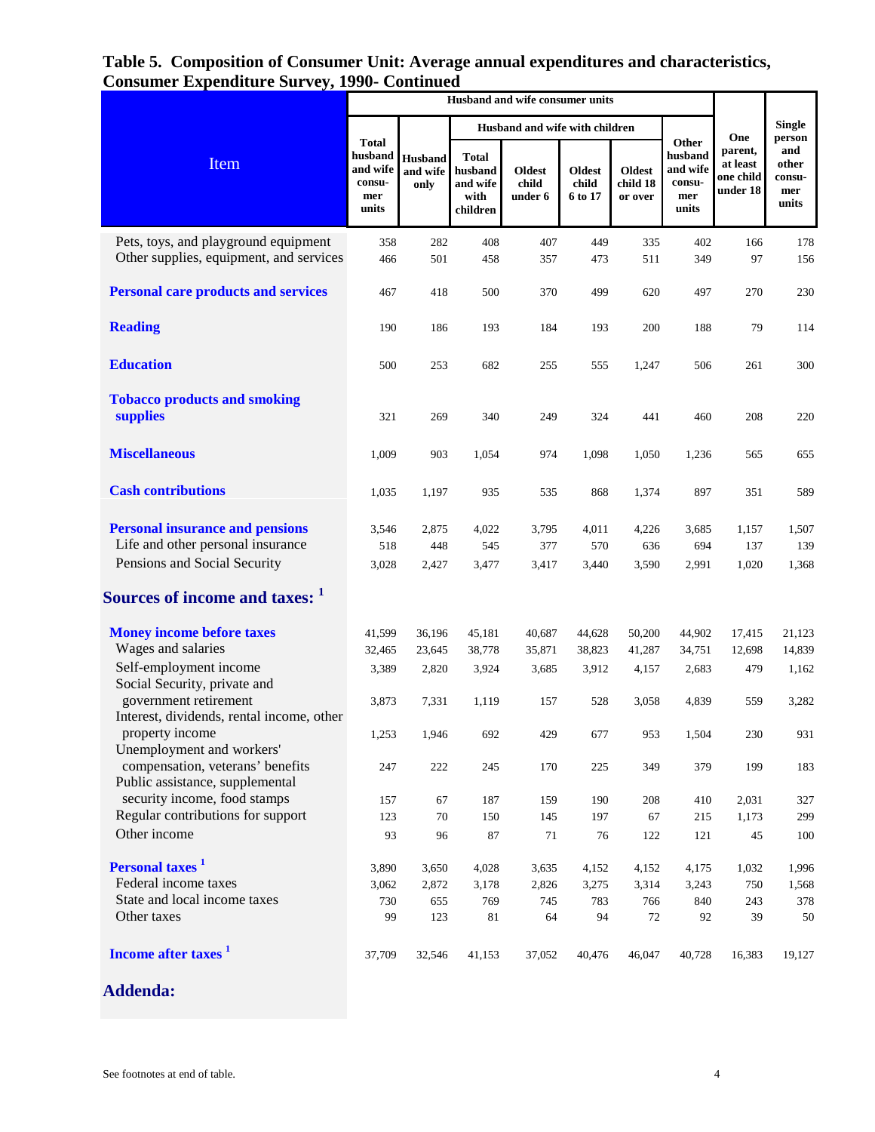|                                                                                                             |                                                               |                                    |                                                         | Husband and wife with children    |                            |                                      |                                                        | <b>Single</b>                                       |                                                  |
|-------------------------------------------------------------------------------------------------------------|---------------------------------------------------------------|------------------------------------|---------------------------------------------------------|-----------------------------------|----------------------------|--------------------------------------|--------------------------------------------------------|-----------------------------------------------------|--------------------------------------------------|
| Item                                                                                                        | <b>Total</b><br>husband<br>and wife<br>consu-<br>mer<br>units | <b>Husband</b><br>and wife<br>only | <b>Total</b><br>husband<br>and wife<br>with<br>children | <b>Oldest</b><br>child<br>under 6 | Oldest<br>child<br>6 to 17 | <b>Oldest</b><br>child 18<br>or over | Other<br>husband<br>and wife<br>consu-<br>mer<br>units | One<br>parent,<br>at least<br>one child<br>under 18 | person<br>and<br>other<br>consu-<br>mer<br>units |
| Pets, toys, and playground equipment<br>Other supplies, equipment, and services                             | 358<br>466                                                    | 282<br>501                         | 408<br>458                                              | 407<br>357                        | 449<br>473                 | 335<br>511                           | 402<br>349                                             | 166<br>97                                           | 178<br>156                                       |
| <b>Personal care products and services</b>                                                                  | 467                                                           | 418                                | 500                                                     | 370                               | 499                        | 620                                  | 497                                                    | 270                                                 | 230                                              |
| <b>Reading</b>                                                                                              | 190                                                           | 186                                | 193                                                     | 184                               | 193                        | 200                                  | 188                                                    | 79                                                  | 114                                              |
| <b>Education</b>                                                                                            | 500                                                           | 253                                | 682                                                     | 255                               | 555                        | 1,247                                | 506                                                    | 261                                                 | 300                                              |
| <b>Tobacco products and smoking</b><br>supplies                                                             | 321                                                           | 269                                | 340                                                     | 249                               | 324                        | 441                                  | 460                                                    | 208                                                 | 220                                              |
| <b>Miscellaneous</b>                                                                                        | 1,009                                                         | 903                                | 1,054                                                   | 974                               | 1,098                      | 1,050                                | 1,236                                                  | 565                                                 | 655                                              |
| <b>Cash contributions</b>                                                                                   | 1,035                                                         | 1,197                              | 935                                                     | 535                               | 868                        | 1,374                                | 897                                                    | 351                                                 | 589                                              |
| <b>Personal insurance and pensions</b><br>Life and other personal insurance<br>Pensions and Social Security | 3,546<br>518<br>3,028                                         | 2,875<br>448<br>2,427              | 4,022<br>545<br>3,477                                   | 3,795<br>377<br>3,417             | 4,011<br>570<br>3,440      | 4,226<br>636<br>3,590                | 3,685<br>694<br>2,991                                  | 1,157<br>137<br>1,020                               | 1,507<br>139<br>1,368                            |
| Sources of income and taxes: 1                                                                              |                                                               |                                    |                                                         |                                   |                            |                                      |                                                        |                                                     |                                                  |
| <b>Money income before taxes</b><br>Wages and salaries                                                      | 41,599<br>32,465                                              | 36,196<br>23,645                   | 45,181<br>38,778                                        | 40,687<br>35,871                  | 44,628<br>38,823           | 50,200<br>41,287                     | 44,902<br>34,751                                       | 17,415<br>12,698                                    | 21,123<br>14,839                                 |
| Self-employment income<br>Social Security, private and                                                      | 3,389                                                         | 2,820                              | 3,924                                                   | 3,685                             | 3,912                      | 4,157                                | 2,683                                                  | 479                                                 | 1,162                                            |
| government retirement<br>Interest, dividends, rental income, other                                          | 3,873                                                         | 7,331                              | 1,119                                                   | 157                               | 528                        | 3,058                                | 4,839                                                  | 559                                                 | 3,282                                            |
| property income<br>Unemployment and workers'                                                                | 1,253                                                         | 1,946                              | 692                                                     | 429                               | 677                        | 953                                  | 1,504                                                  | 230                                                 | 931                                              |
| compensation, veterans' benefits<br>Public assistance, supplemental                                         | 247                                                           | 222                                | 245                                                     | 170                               | 225                        | 349                                  | 379                                                    | 199                                                 | 183                                              |
| security income, food stamps<br>Regular contributions for support                                           | 157<br>123                                                    | 67<br>70                           | 187<br>150                                              | 159                               | 190<br>197                 | 208<br>67                            | 410                                                    | 2,031<br>1,173                                      | 327<br>299                                       |
| Other income                                                                                                | 93                                                            | 96                                 | $87\,$                                                  | 145<br>$71\,$                     | 76                         | 122                                  | 215<br>121                                             | 45                                                  | 100                                              |
| Personal taxes <sup>1</sup>                                                                                 | 3,890                                                         | 3,650                              | 4,028                                                   | 3,635                             | 4,152                      | 4,152                                | 4,175                                                  | 1,032                                               | 1,996                                            |
| Federal income taxes                                                                                        | 3,062                                                         | 2,872                              | 3,178                                                   | 2,826                             | 3,275                      | 3,314                                | 3,243                                                  | 750                                                 | 1,568                                            |
| State and local income taxes                                                                                | 730                                                           | 655                                | 769                                                     | 745                               | 783                        | 766                                  | 840                                                    | 243                                                 | 378                                              |
| Other taxes                                                                                                 | 99                                                            | 123                                | 81                                                      | 64                                | 94                         | 72                                   | 92                                                     | 39                                                  | 50                                               |
| Income after taxes <sup>1</sup>                                                                             | 37,709                                                        | 32,546                             | 41,153                                                  | 37,052                            | 40,476                     | 46,047                               | 40,728                                                 | 16,383                                              | 19,127                                           |

**Addenda:**